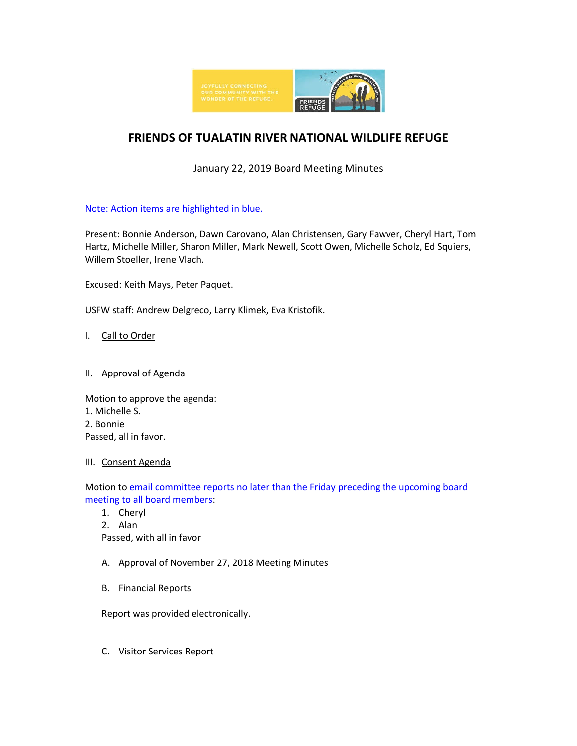

# **FRIENDS OF TUALATIN RIVER NATIONAL WILDLIFE REFUGE**

January 22, 2019 Board Meeting Minutes

Note: Action items are highlighted in blue.

Present: Bonnie Anderson, Dawn Carovano, Alan Christensen, Gary Fawver, Cheryl Hart, Tom Hartz, Michelle Miller, Sharon Miller, Mark Newell, Scott Owen, Michelle Scholz, Ed Squiers, Willem Stoeller, Irene Vlach.

Excused: Keith Mays, Peter Paquet.

USFW staff: Andrew Delgreco, Larry Klimek, Eva Kristofik.

I. Call to Order

# II. Approval of Agenda

Motion to approve the agenda: 1. Michelle S. 2. Bonnie Passed, all in favor.

# III. Consent Agenda

Motion to email committee reports no later than the Friday preceding the upcoming board meeting to all board members:

1. Cheryl

2. Alan Passed, with all in favor

- A. Approval of November 27, 2018 Meeting Minutes
- B. Financial Reports

Report was provided electronically.

C. Visitor Services Report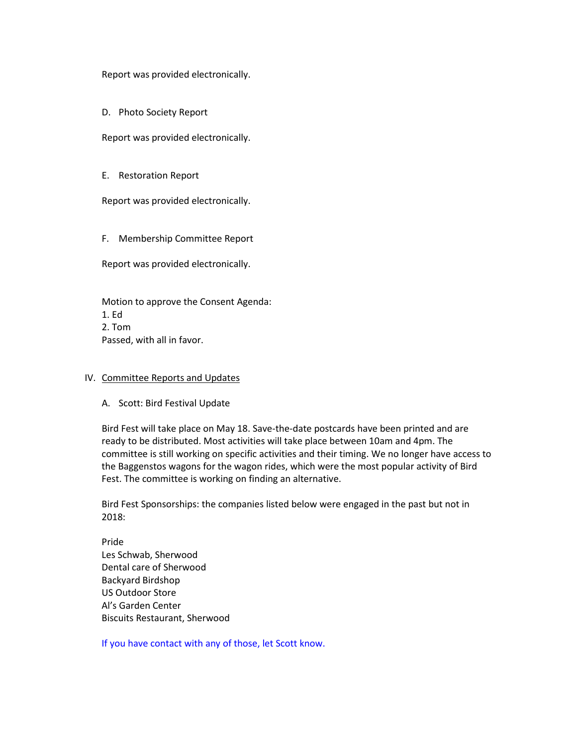Report was provided electronically.

D. Photo Society Report

Report was provided electronically.

E. Restoration Report

Report was provided electronically.

F. Membership Committee Report

Report was provided electronically.

Motion to approve the Consent Agenda: 1. Ed 2. Tom Passed, with all in favor.

### IV. Committee Reports and Updates

#### A. Scott: Bird Festival Update

Bird Fest will take place on May 18. Save-the-date postcards have been printed and are ready to be distributed. Most activities will take place between 10am and 4pm. The committee is still working on specific activities and their timing. We no longer have access to the Baggenstos wagons for the wagon rides, which were the most popular activity of Bird Fest. The committee is working on finding an alternative.

Bird Fest Sponsorships: the companies listed below were engaged in the past but not in 2018:

Pride Les Schwab, Sherwood Dental care of Sherwood Backyard Birdshop US Outdoor Store Al's Garden Center Biscuits Restaurant, Sherwood

If you have contact with any of those, let Scott know.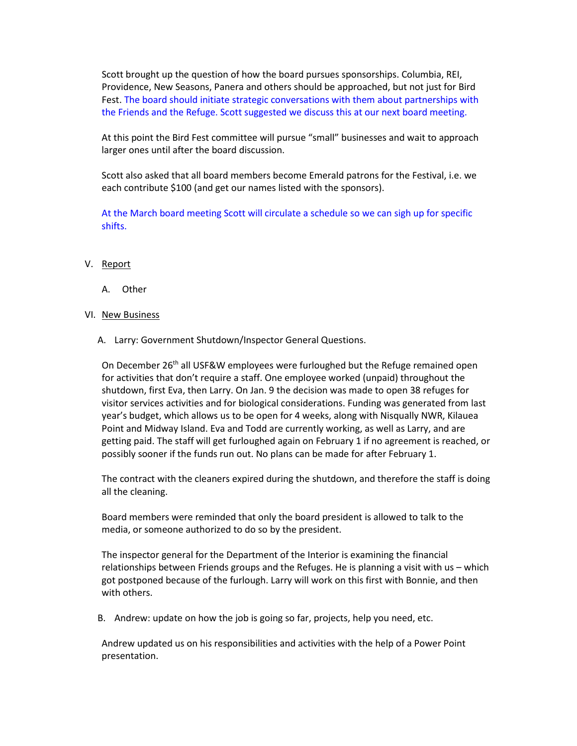Scott brought up the question of how the board pursues sponsorships. Columbia, REI, Providence, New Seasons, Panera and others should be approached, but not just for Bird Fest. The board should initiate strategic conversations with them about partnerships with the Friends and the Refuge. Scott suggested we discuss this at our next board meeting.

At this point the Bird Fest committee will pursue "small" businesses and wait to approach larger ones until after the board discussion.

Scott also asked that all board members become Emerald patrons for the Festival, i.e. we each contribute \$100 (and get our names listed with the sponsors).

At the March board meeting Scott will circulate a schedule so we can sigh up for specific shifts.

## V. Report

A. Other

## VI. New Business

A. Larry: Government Shutdown/Inspector General Questions.

On December 26<sup>th</sup> all USF&W employees were furloughed but the Refuge remained open for activities that don't require a staff. One employee worked (unpaid) throughout the shutdown, first Eva, then Larry. On Jan. 9 the decision was made to open 38 refuges for visitor services activities and for biological considerations. Funding was generated from last year's budget, which allows us to be open for 4 weeks, along with Nisqually NWR, Kilauea Point and Midway Island. Eva and Todd are currently working, as well as Larry, and are getting paid. The staff will get furloughed again on February 1 if no agreement is reached, or possibly sooner if the funds run out. No plans can be made for after February 1.

The contract with the cleaners expired during the shutdown, and therefore the staff is doing all the cleaning.

Board members were reminded that only the board president is allowed to talk to the media, or someone authorized to do so by the president.

The inspector general for the Department of the Interior is examining the financial relationships between Friends groups and the Refuges. He is planning a visit with us – which got postponed because of the furlough. Larry will work on this first with Bonnie, and then with others.

B. Andrew: update on how the job is going so far, projects, help you need, etc.

Andrew updated us on his responsibilities and activities with the help of a Power Point presentation.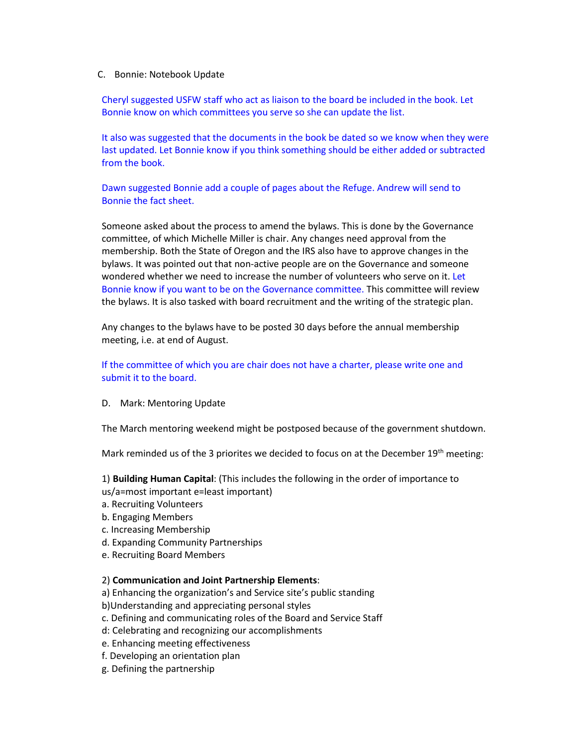#### C. Bonnie: Notebook Update

Cheryl suggested USFW staff who act as liaison to the board be included in the book. Let Bonnie know on which committees you serve so she can update the list.

It also was suggested that the documents in the book be dated so we know when they were last updated. Let Bonnie know if you think something should be either added or subtracted from the book.

Dawn suggested Bonnie add a couple of pages about the Refuge. Andrew will send to Bonnie the fact sheet.

Someone asked about the process to amend the bylaws. This is done by the Governance committee, of which Michelle Miller is chair. Any changes need approval from the membership. Both the State of Oregon and the IRS also have to approve changes in the bylaws. It was pointed out that non-active people are on the Governance and someone wondered whether we need to increase the number of volunteers who serve on it. Let Bonnie know if you want to be on the Governance committee. This committee will review the bylaws. It is also tasked with board recruitment and the writing of the strategic plan.

Any changes to the bylaws have to be posted 30 days before the annual membership meeting, i.e. at end of August.

If the committee of which you are chair does not have a charter, please write one and submit it to the board.

#### D. Mark: Mentoring Update

The March mentoring weekend might be postposed because of the government shutdown.

Mark reminded us of the 3 priorites we decided to focus on at the December 19<sup>th</sup> meeting:

1) **Building Human Capital**: (This includes the following in the order of importance to us/a=most important e=least important)

- a. Recruiting Volunteers
- b. Engaging Members
- c. Increasing Membership
- d. Expanding Community Partnerships
- e. Recruiting Board Members

#### 2) **Communication and Joint Partnership Elements**:

- a) Enhancing the organization's and Service site's public standing
- b)Understanding and appreciating personal styles
- c. Defining and communicating roles of the Board and Service Staff
- d: Celebrating and recognizing our accomplishments
- e. Enhancing meeting effectiveness
- f. Developing an orientation plan
- g. Defining the partnership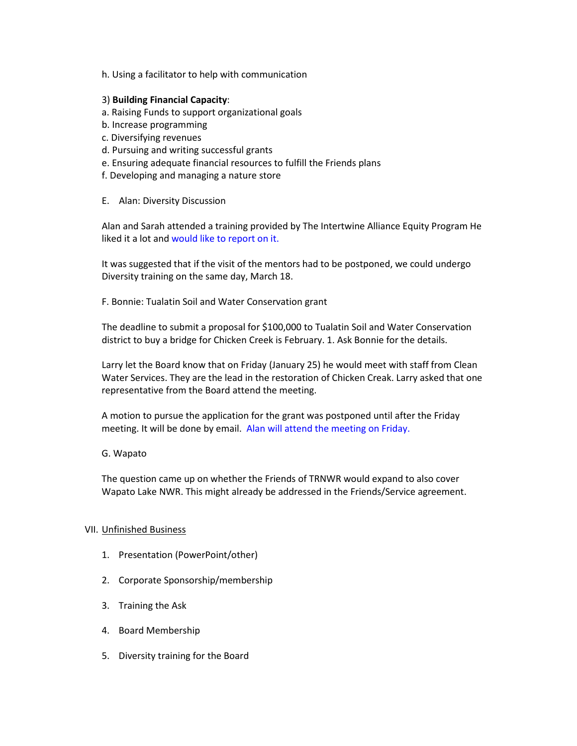h. Using a facilitator to help with communication

## 3) **Building Financial Capacity**:

- a. Raising Funds to support organizational goals
- b. Increase programming
- c. Diversifying revenues
- d. Pursuing and writing successful grants
- e. Ensuring adequate financial resources to fulfill the Friends plans
- f. Developing and managing a nature store
- E. Alan: Diversity Discussion

Alan and Sarah attended a training provided by The Intertwine Alliance Equity Program He liked it a lot and would like to report on it.

It was suggested that if the visit of the mentors had to be postponed, we could undergo Diversity training on the same day, March 18.

F. Bonnie: Tualatin Soil and Water Conservation grant

The deadline to submit a proposal for \$100,000 to Tualatin Soil and Water Conservation district to buy a bridge for Chicken Creek is February. 1. Ask Bonnie for the details.

Larry let the Board know that on Friday (January 25) he would meet with staff from Clean Water Services. They are the lead in the restoration of Chicken Creak. Larry asked that one representative from the Board attend the meeting.

A motion to pursue the application for the grant was postponed until after the Friday meeting. It will be done by email. Alan will attend the meeting on Friday.

G. Wapato

The question came up on whether the Friends of TRNWR would expand to also cover Wapato Lake NWR. This might already be addressed in the Friends/Service agreement.

#### VII. Unfinished Business

- 1. Presentation (PowerPoint/other)
- 2. Corporate Sponsorship/membership
- 3. Training the Ask
- 4. Board Membership
- 5. Diversity training for the Board